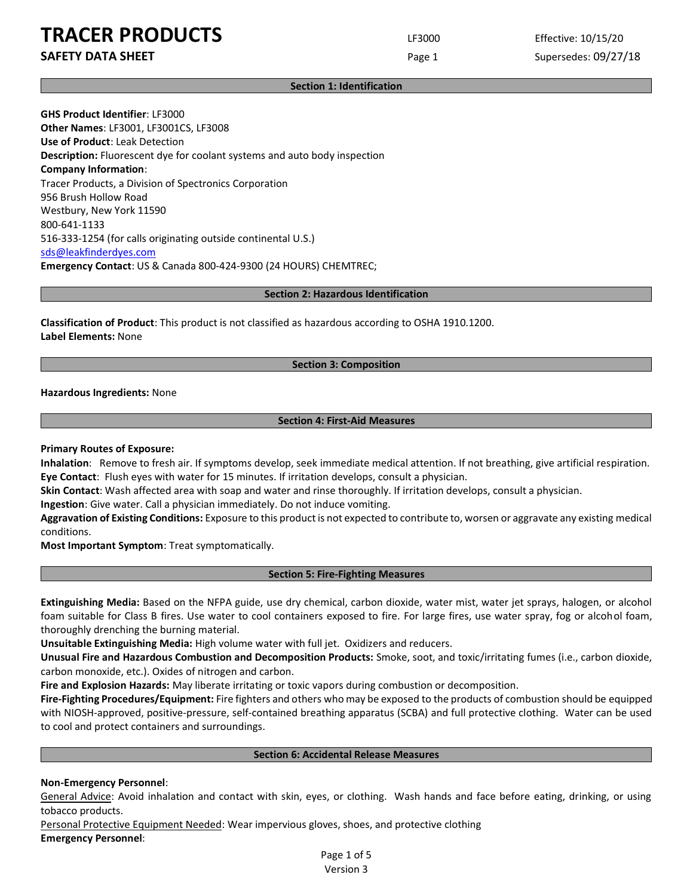**SAFETY DATA SHEET Page 1** Supersedes: 09/27/18

### **Section 1: Identification**

**GHS Product Identifier**: LF3000 **Other Names**: LF3001, LF3001CS, LF3008 **Use of Product**: Leak Detection **Description:** Fluorescent dye for coolant systems and auto body inspection **Company Information**: Tracer Products, a Division of Spectronics Corporation 956 Brush Hollow Road Westbury, New York 11590 800-641-1133 516-333-1254 (for calls originating outside continental U.S.) [sds@leakfinderdyes.com](mailto:sds@leakfinderdyes.com) **Emergency Contact**: US & Canada 800-424-9300 (24 HOURS) CHEMTREC;

### **Section 2: Hazardous Identification**

**Classification of Product**: This product is not classified as hazardous according to OSHA 1910.1200. **Label Elements:** None

### **Section 3: Composition**

**Hazardous Ingredients:** None

### **Section 4: First-Aid Measures**

### **Primary Routes of Exposure:**

**Inhalation**: Remove to fresh air. If symptoms develop, seek immediate medical attention. If not breathing, give artificial respiration. **Eye Contact**: Flush eyes with water for 15 minutes. If irritation develops, consult a physician.

**Skin Contact**: Wash affected area with soap and water and rinse thoroughly. If irritation develops, consult a physician.

**Ingestion**: Give water. Call a physician immediately. Do not induce vomiting.

**Aggravation of Existing Conditions:** Exposure to this product is not expected to contribute to, worsen or aggravate any existing medical conditions.

**Most Important Symptom**: Treat symptomatically.

#### **Section 5: Fire-Fighting Measures**

**Extinguishing Media:** Based on the NFPA guide, use dry chemical, carbon dioxide, water mist, water jet sprays, halogen, or alcohol foam suitable for Class B fires. Use water to cool containers exposed to fire. For large fires, use water spray, fog or alcohol foam, thoroughly drenching the burning material.

**Unsuitable Extinguishing Media:** High volume water with full jet. Oxidizers and reducers.

**Unusual Fire and Hazardous Combustion and Decomposition Products:** Smoke, soot, and toxic/irritating fumes (i.e., carbon dioxide, carbon monoxide, etc.). Oxides of nitrogen and carbon.

**Fire and Explosion Hazards:** May liberate irritating or toxic vapors during combustion or decomposition.

**Fire-Fighting Procedures/Equipment:** Fire fighters and others who may be exposed to the products of combustion should be equipped with NIOSH-approved, positive-pressure, self-contained breathing apparatus (SCBA) and full protective clothing. Water can be used to cool and protect containers and surroundings.

#### **Section 6: Accidental Release Measures**

#### **Non-Emergency Personnel**:

General Advice: Avoid inhalation and contact with skin, eyes, or clothing. Wash hands and face before eating, drinking, or using tobacco products.

Personal Protective Equipment Needed: Wear impervious gloves, shoes, and protective clothing **Emergency Personnel**:

> Page 1 of 5 Version 3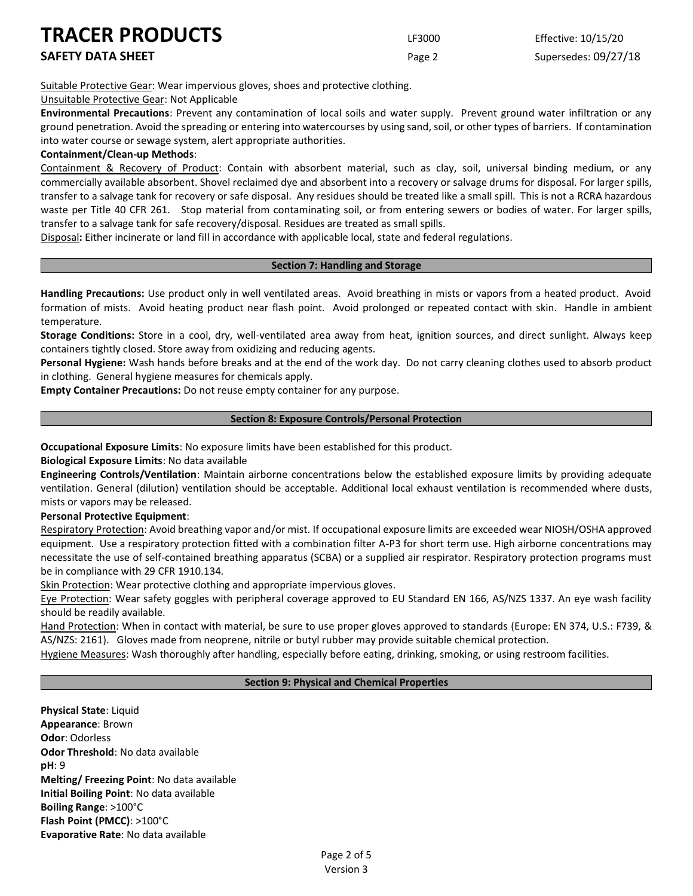Suitable Protective Gear: Wear impervious gloves, shoes and protective clothing.

### Unsuitable Protective Gear: Not Applicable

**Environmental Precautions**: Prevent any contamination of local soils and water supply. Prevent ground water infiltration or any ground penetration. Avoid the spreading or entering into watercourses by using sand, soil, or other types of barriers. If contamination into water course or sewage system, alert appropriate authorities.

### **Containment/Clean-up Methods**:

Containment & Recovery of Product: Contain with absorbent material, such as clay, soil, universal binding medium, or any commercially available absorbent. Shovel reclaimed dye and absorbent into a recovery or salvage drums for disposal. For larger spills, transfer to a salvage tank for recovery or safe disposal. Any residues should be treated like a small spill. This is not a RCRA hazardous waste per Title 40 CFR 261. Stop material from contaminating soil, or from entering sewers or bodies of water. For larger spills, transfer to a salvage tank for safe recovery/disposal. Residues are treated as small spills.

Disposal**:** Either incinerate or land fill in accordance with applicable local, state and federal regulations.

### **Section 7: Handling and Storage**

**Handling Precautions:** Use product only in well ventilated areas. Avoid breathing in mists or vapors from a heated product. Avoid formation of mists. Avoid heating product near flash point. Avoid prolonged or repeated contact with skin. Handle in ambient temperature.

**Storage Conditions:** Store in a cool, dry, well-ventilated area away from heat, ignition sources, and direct sunlight. Always keep containers tightly closed. Store away from oxidizing and reducing agents.

**Personal Hygiene:** Wash hands before breaks and at the end of the work day. Do not carry cleaning clothes used to absorb product in clothing. General hygiene measures for chemicals apply.

**Empty Container Precautions:** Do not reuse empty container for any purpose.

### **Section 8: Exposure Controls/Personal Protection**

**Occupational Exposure Limits**: No exposure limits have been established for this product.

**Biological Exposure Limits**: No data available

**Engineering Controls/Ventilation**: Maintain airborne concentrations below the established exposure limits by providing adequate ventilation. General (dilution) ventilation should be acceptable. Additional local exhaust ventilation is recommended where dusts, mists or vapors may be released.

### **Personal Protective Equipment**:

Respiratory Protection: Avoid breathing vapor and/or mist. If occupational exposure limits are exceeded wear NIOSH/OSHA approved equipment. Use a respiratory protection fitted with a combination filter A-P3 for short term use. High airborne concentrations may necessitate the use of self-contained breathing apparatus (SCBA) or a supplied air respirator. Respiratory protection programs must be in compliance with 29 CFR 1910.134.

Skin Protection: Wear protective clothing and appropriate impervious gloves.

Eye Protection: Wear safety goggles with peripheral coverage approved to EU Standard EN 166, AS/NZS 1337. An eye wash facility should be readily available.

Hand Protection: When in contact with material, be sure to use proper gloves approved to standards (Europe: EN 374, U.S.: F739, & AS/NZS: 2161). Gloves made from neoprene, nitrile or butyl rubber may provide suitable chemical protection.

Hygiene Measures: Wash thoroughly after handling, especially before eating, drinking, smoking, or using restroom facilities.

### **Section 9: Physical and Chemical Properties**

**Physical State**: Liquid **Appearance**: Brown **Odor**: Odorless **Odor Threshold**: No data available **pH**: 9 **Melting/ Freezing Point**: No data available **Initial Boiling Point**: No data available **Boiling Range**: >100°C **Flash Point (PMCC)**: >100°C **Evaporative Rate**: No data available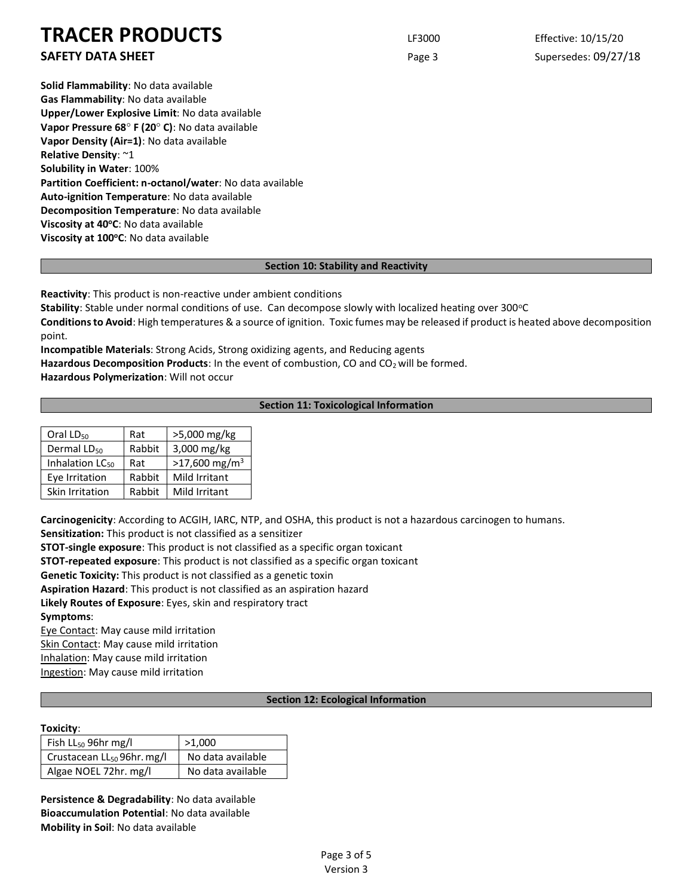### **SAFETY DATA SHEET Page 3** Supersedes: 09/27/18

**Solid Flammability**: No data available **Gas Flammability**: No data available **Upper/Lower Explosive Limit**: No data available **Vapor Pressure 68 F (20 C)**: No data available **Vapor Density (Air=1)**: No data available **Relative Density**: ~1 **Solubility in Water**: 100% **Partition Coefficient: n-octanol/water**: No data available **Auto-ignition Temperature**: No data available **Decomposition Temperature**: No data available **Viscosity at 40<sup>o</sup>C**: No data available **Viscosity at 100<sup>o</sup>C**: No data available

### **Section 10: Stability and Reactivity**

**Reactivity**: This product is non-reactive under ambient conditions

**Stability**: Stable under normal conditions of use. Can decompose slowly with localized heating over 300°C

**Conditions to Avoid**: High temperatures & a source of ignition. Toxic fumes may be released if product is heated above decomposition point.

**Incompatible Materials**: Strong Acids, Strong oxidizing agents, and Reducing agents

Hazardous Decomposition Products: In the event of combustion, CO and CO<sub>2</sub> will be formed.

**Hazardous Polymerization**: Will not occur

### **Section 11: Toxicological Information**

| Oral LD <sub>50</sub>       | Rat    | >5,000 mg/kg                |
|-----------------------------|--------|-----------------------------|
| Dermal LD <sub>50</sub>     | Rabbit | 3,000 mg/kg                 |
| Inhalation LC <sub>50</sub> | Rat    | $>17,600$ mg/m <sup>3</sup> |
| Eye Irritation              | Rabbit | Mild Irritant               |
| Skin Irritation             | Rabbit | Mild Irritant               |

**Carcinogenicity**: According to ACGIH, IARC, NTP, and OSHA, this product is not a hazardous carcinogen to humans.

**Sensitization:** This product is not classified as a sensitizer

**STOT-single exposure**: This product is not classified as a specific organ toxicant

**STOT-repeated exposure**: This product is not classified as a specific organ toxicant

**Genetic Toxicity:** This product is not classified as a genetic toxin

**Aspiration Hazard**: This product is not classified as an aspiration hazard

**Likely Routes of Exposure**: Eyes, skin and respiratory tract

**Symptoms**:

Eye Contact: May cause mild irritation Skin Contact: May cause mild irritation

Inhalation: May cause mild irritation

Ingestion: May cause mild irritation

### **Section 12: Ecological Information**

### **Toxicity**:

| Fish $LL_{50}$ 96hr mg/l               | >1,000            |
|----------------------------------------|-------------------|
| Crustacean LL <sub>50</sub> 96hr. mg/l | No data available |
| Algae NOEL 72hr. mg/l                  | No data available |

**Persistence & Degradability**: No data available **Bioaccumulation Potential**: No data available **Mobility in Soil**: No data available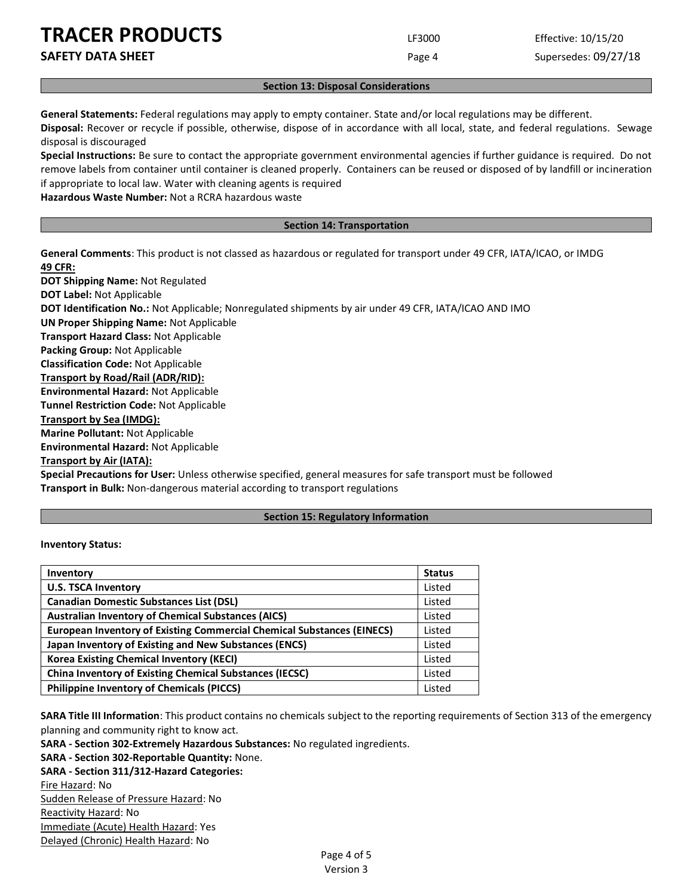**SAFETY DATA SHEET Page 4** Supersedes: 09/27/18

### **Section 13: Disposal Considerations**

**General Statements:** Federal regulations may apply to empty container. State and/or local regulations may be different.

**Disposal:** Recover or recycle if possible, otherwise, dispose of in accordance with all local, state, and federal regulations. Sewage disposal is discouraged

**Special Instructions:** Be sure to contact the appropriate government environmental agencies if further guidance is required. Do not remove labels from container until container is cleaned properly. Containers can be reused or disposed of by landfill or incineration if appropriate to local law. Water with cleaning agents is required

**Hazardous Waste Number:** Not a RCRA hazardous waste

### **Section 14: Transportation**

**General Comments**: This product is not classed as hazardous or regulated for transport under 49 CFR, IATA/ICAO, or IMDG **49 CFR:**

**DOT Shipping Name:** Not Regulated **DOT Label:** Not Applicable **DOT Identification No.:** Not Applicable; Nonregulated shipments by air under 49 CFR, IATA/ICAO AND IMO **UN Proper Shipping Name:** Not Applicable **Transport Hazard Class:** Not Applicable **Packing Group:** Not Applicable **Classification Code:** Not Applicable **Transport by Road/Rail (ADR/RID): Environmental Hazard:** Not Applicable **Tunnel Restriction Code:** Not Applicable **Transport by Sea (IMDG): Marine Pollutant:** Not Applicable **Environmental Hazard:** Not Applicable **Transport by Air (IATA): Special Precautions for User:** Unless otherwise specified, general measures for safe transport must be followed

**Transport in Bulk:** Non-dangerous material according to transport regulations

### **Section 15: Regulatory Information**

### **Inventory Status:**

| Inventory                                                                     | <b>Status</b> |
|-------------------------------------------------------------------------------|---------------|
| <b>U.S. TSCA Inventory</b>                                                    | Listed        |
| <b>Canadian Domestic Substances List (DSL)</b>                                | Listed        |
| <b>Australian Inventory of Chemical Substances (AICS)</b>                     | Listed        |
| <b>European Inventory of Existing Commercial Chemical Substances (EINECS)</b> | Listed        |
| Japan Inventory of Existing and New Substances (ENCS)                         | Listed        |
| <b>Korea Existing Chemical Inventory (KECI)</b>                               |               |
| <b>China Inventory of Existing Chemical Substances (IECSC)</b>                |               |
| <b>Philippine Inventory of Chemicals (PICCS)</b>                              | Listed        |

**SARA Title III Information**: This product contains no chemicals subject to the reporting requirements of Section 313 of the emergency planning and community right to know act.

**SARA - Section 302-Extremely Hazardous Substances:** No regulated ingredients.

**SARA - Section 302-Reportable Quantity:** None.

**SARA - Section 311/312-Hazard Categories:**

Fire Hazard: No Sudden Release of Pressure Hazard: No Reactivity Hazard: No Immediate (Acute) Health Hazard: Yes Delayed (Chronic) Health Hazard: No